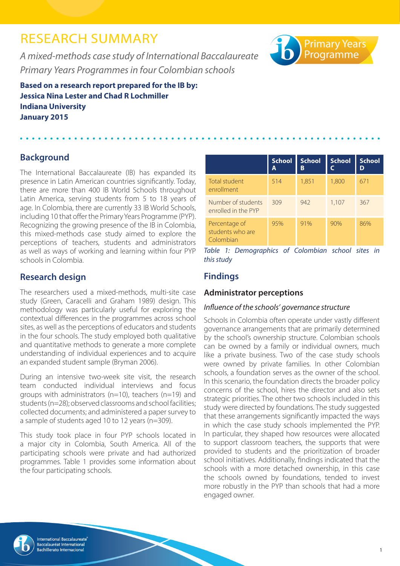# RESEARCH SUMMARY

*A mixed-methods case study of International Baccalaureate Primary Years Programmes in four Colombian schools*

**Based on a research report prepared for the IB by: Jessica Nina Lester and Chad R Lochmiller Indiana University January 2015**

# **Background**

The International Baccalaureate (IB) has expanded its presence in Latin American countries significantly. Today, there are more than 400 IB World Schools throughout Latin America, serving students from 5 to 18 years of age. In Colombia, there are currently 33 IB World Schools, including 10 that offer the Primary Years Programme (PYP). Recognizing the growing presence of the IB in Colombia, this mixed-methods case study aimed to explore the perceptions of teachers, students and administrators as well as ways of working and learning within four PYP schools in Colombia.

## **Research design**

The researchers used a mixed-methods, multi-site case study (Green, Caracelli and Graham 1989) design. This methodology was particularly useful for exploring the contextual differences in the programmes across school sites, as well as the perceptions of educators and students in the four schools. The study employed both qualitative and quantitative methods to generate a more complete understanding of individual experiences and to acquire an expanded student sample (Bryman 2006).

During an intensive two-week site visit, the research team conducted individual interviews and focus groups with administrators (n=10), teachers (n=19) and students (n=28); observed classrooms and school facilities; collected documents; and administered a paper survey to a sample of students aged 10 to 12 years (n=309).

This study took place in four PYP schools located in a major city in Colombia, South America. All of the participating schools were private and had authorized programmes. Table 1 provides some information about the four participating schools.

|                                                | <b>School</b><br>Α | <b>School</b><br>B | <b>School</b> | <b>School</b> |
|------------------------------------------------|--------------------|--------------------|---------------|---------------|
| Total student<br>enrollment                    | 514                | 1,851              | 1,800         | 671           |
| Number of students<br>enrolled in the PYP      | 309                | 942                | 1,107         | 367           |
| Percentage of<br>students who are<br>Colombian | 95%                | 91%                | 90%           | 86%           |

**Primary Years**<br>Programme

*Table 1: Demographics of Colombian school sites in this study*

### **Findings**

### **Administrator perceptions**

### *Influence of the schools' governance structure*

Schools in Colombia often operate under vastly different governance arrangements that are primarily determined by the school's ownership structure. Colombian schools can be owned by a family or individual owners, much like a private business. Two of the case study schools were owned by private families. In other Colombian schools, a foundation serves as the owner of the school. In this scenario, the foundation directs the broader policy concerns of the school, hires the director and also sets strategic priorities. The other two schools included in this study were directed by foundations. The study suggested that these arrangements significantly impacted the ways in which the case study schools implemented the PYP. In particular, they shaped how resources were allocated to support classroom teachers, the supports that were provided to students and the prioritization of broader school initiatives. Additionally, findings indicated that the schools with a more detached ownership, in this case the schools owned by foundations, tended to invest more robustly in the PYP than schools that had a more engaged owner.

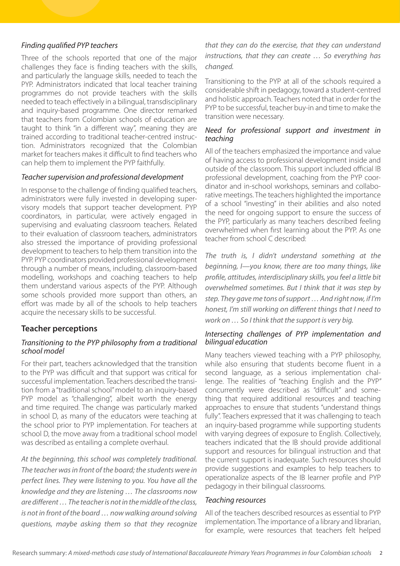### *Finding qualified PYP teachers*

Three of the schools reported that one of the major challenges they face is finding teachers with the skills, and particularly the language skills, needed to teach the PYP. Administrators indicated that local teacher training programmes do not provide teachers with the skills needed to teach effectively in a bilingual, transdisciplinary and inquiry-based programme. One director remarked that teachers from Colombian schools of education are taught to think "in a different way", meaning they are trained according to traditional teacher-centred instruction. Administrators recognized that the Colombian market for teachers makes it difficult to find teachers who can help them to implement the PYP faithfully.

### *Teacher supervision and professional development*

In response to the challenge of finding qualified teachers, administrators were fully invested in developing supervisory models that support teacher development. PYP coordinators, in particular, were actively engaged in supervising and evaluating classroom teachers. Related to their evaluation of classroom teachers, administrators also stressed the importance of providing professional development to teachers to help them transition into the PYP. PYP coordinators provided professional development through a number of means, including, classroom-based modelling, workshops and coaching teachers to help them understand various aspects of the PYP. Although some schools provided more support than others, an effort was made by all of the schools to help teachers acquire the necessary skills to be successful.

### **Teacher perceptions**

#### *Transitioning to the PYP philosophy from a traditional school model*

For their part, teachers acknowledged that the transition to the PYP was difficult and that support was critical for successful implementation. Teachers described the transition from a "traditional school" model to an inquiry-based PYP model as "challenging", albeit worth the energy and time required. The change was particularly marked in school D, as many of the educators were teaching at the school prior to PYP implementation. For teachers at school D, the move away from a traditional school model was described as entailing a complete overhaul.

*At the beginning, this school was completely traditional. The teacher was in front of the board; the students were in perfect lines. They were listening to you. You have all the knowledge and they are listening … The classrooms now are different … The teacher is not in the middle of the class, is not in front of the board … now walking around solving questions, maybe asking them so that they recognize* 

### *that they can do the exercise, that they can understand instructions, that they can create … So everything has changed.*

Transitioning to the PYP at all of the schools required a considerable shift in pedagogy, toward a student-centred and holistic approach. Teachers noted that in order for the PYP to be successful, teacher buy-in and time to make the transition were necessary.

### *Need for professional support and investment in teaching*

All of the teachers emphasized the importance and value of having access to professional development inside and outside of the classroom. This support included official IB professional development, coaching from the PYP coordinator and in-school workshops, seminars and collaborative meetings. The teachers highlighted the importance of a school "investing" in their abilities and also noted the need for ongoing support to ensure the success of the PYP, particularly as many teachers described feeling overwhelmed when first learning about the PYP. As one teacher from school C described:

*The truth is, I didn't understand something at the beginning, I—you know, there are too many things, like profile, attitudes, interdisciplinary skills, you feel a little bit overwhelmed sometimes. But I think that it was step by step. They gave me tons of support … And right now, if I'm honest, I'm still working on different things that I need to work on … So I think that the support is very big.*

#### *Intersecting challenges of PYP implementation and bilingual education*

Many teachers viewed teaching with a PYP philosophy, while also ensuring that students become fluent in a second language, as a serious implementation challenge. The realities of "teaching English and the PYP" concurrently were described as "difficult" and something that required additional resources and teaching approaches to ensure that students "understand things fully". Teachers expressed that it was challenging to teach an inquiry-based programme while supporting students with varying degrees of exposure to English. Collectively, teachers indicated that the IB should provide additional support and resources for bilingual instruction and that the current support is inadequate. Such resources should provide suggestions and examples to help teachers to operationalize aspects of the IB learner profile and PYP pedagogy in their bilingual classrooms.

#### *Teaching resources*

All of the teachers described resources as essential to PYP implementation. The importance of a library and librarian, for example, were resources that teachers felt helped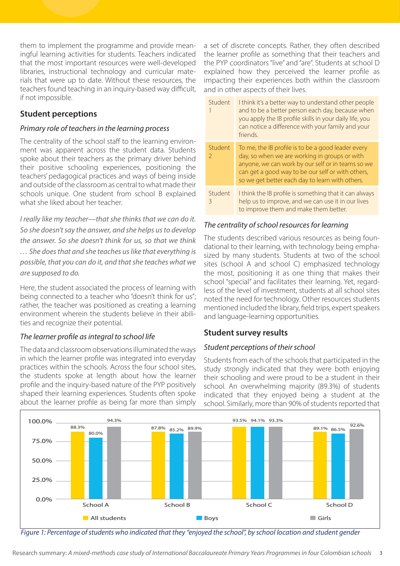them to implement the programme and provide meaningful learning activities for students. Teachers indicated that the most important resources were well-developed libraries, instructional technology and curricular materials that were up to date. Without these resources, the teachers found teaching in an inquiry-based way difficult, if not impossible.

### **Student perceptions**

### *Primary role of teachers in the learning process*

The centrality of the school staff to the learning environment was apparent across the student data. Students spoke about their teachers as the primary driver behind their positive schooling experiences, positioning the teachers' pedagogical practices and ways of being inside and outside of the classroom as central to what made their schools unique. One student from school B explained what she liked about her teacher.

*I really like my teacher—that she thinks that we can do it. So she doesn't say the answer, and she helps us to develop the answer. So she doesn't think for us, so that we think … She does that and she teaches us like that everything is possible, that you can do it, and that she teaches what we are supposed to do.*

Here, the student associated the process of learning with being connected to a teacher who "doesn't think for us"; rather, the teacher was positioned as creating a learning environment wherein the students believe in their abilities and recognize their potential.

### *The learner profile as integral to school life*

The data and classroom observations illuminated the ways in which the learner profile was integrated into everyday practices within the schools. Across the four school sites, the students spoke at length about how the learner profile and the inquiry-based nature of the PYP positively shaped their learning experiences. Students often spoke about the learner profile as being far more than simply

a set of discrete concepts. Rather, they often described the learner profile as something that their teachers and the PYP coordinators "live" and "are". Students at school D explained how they perceived the learner profile as impacting their experiences both within the classroom and in other aspects of their lives.

|  | Student      | I think it's a better way to understand other people<br>and to be a better person each day, because when<br>you apply the IB profile skills in your daily life, you<br>can notice a difference with your family and your<br>friends                              |
|--|--------------|------------------------------------------------------------------------------------------------------------------------------------------------------------------------------------------------------------------------------------------------------------------|
|  | Student<br>2 | To me, the IB profile is to be a good leader every<br>day, so when we are working in groups or with<br>anyone, we can work by our self or in teams so we<br>can get a good way to be our self or with others,<br>so we get better each day to learn with others. |
|  | Student<br>ζ | I think the IB profile is something that it can always<br>help us to improve, and we can use it in our lives<br>to improve them and make them better.                                                                                                            |

### *The centrality of school resources for learning*

The students described various resources as being foundational to their learning, with technology being emphasized by many students. Students at two of the school sites (school A and school C) emphasized technology the most, positioning it as one thing that makes their school "special" and facilitates their learning. Yet, regardless of the level of investment, students at all school sites noted the need for technology. Other resources students mentioned included the library, field trips, expert speakers and language-learning opportunities.

### **Student survey results**

### *Student perceptions of their school*

Students from each of the schools that participated in the study strongly indicated that they were both enjoying their schooling and were proud to be a student in their school. An overwhelming majority (89.3%) of students indicated that they enjoyed being a student at the school. Similarly, more than 90% of students reported that



*Figure 1: Percentage of students who indicated that they "enjoyed the school", by school location and student gender*